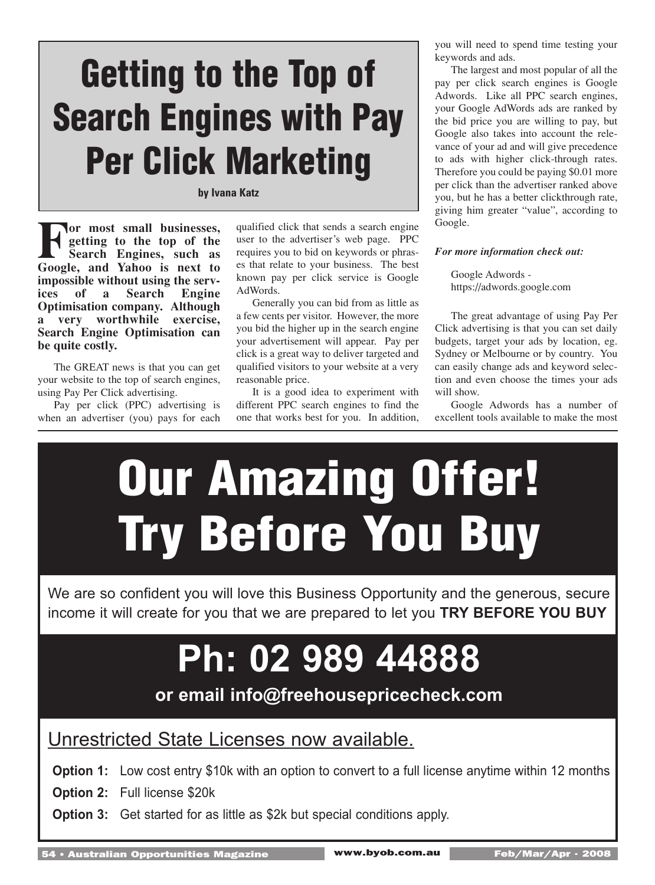## **Getting to the Top of Search Engines with Pay Per Click Marketing**

**by Ivana Katz**

**For most small businesses,**<br>**For search discriming Search Engines, such as**<br>**Google, and Yahoo is next to getting to the top of the Search Engines, such as Google, and Yahoo is next to impossible without using the services of a Search Engine Optimisation company. Although a very worthwhile exercise, Search Engine Optimisation can be quite costly.**

The GREAT news is that you can get your website to the top of search engines, using Pay Per Click advertising.

Pay per click (PPC) advertising is when an advertiser (you) pays for each qualified click that sends a search engine user to the advertiser's web page. PPC requires you to bid on keywords or phrases that relate to your business. The best known pay per click service is Google AdWords.

Generally you can bid from as little as a few cents per visitor. However, the more you bid the higher up in the search engine your advertisement will appear. Pay per click is a great way to deliver targeted and qualified visitors to your website at a very reasonable price.

It is a good idea to experiment with different PPC search engines to find the one that works best for you. In addition, you will need to spend time testing your keywords and ads.

The largest and most popular of all the pay per click search engines is Google Adwords. Like all PPC search engines, your Google AdWords ads are ranked by the bid price you are willing to pay, but Google also takes into account the relevance of your ad and will give precedence to ads with higher click-through rates. Therefore you could be paying \$0.01 more per click than the advertiser ranked above you, but he has a better clickthrough rate, giving him greater "value", according to Google.

#### *For more information check out:*

Google Adwords https://adwords.google.com

The great advantage of using Pay Per Click advertising is that you can set daily budgets, target your ads by location, eg. Sydney or Melbourne or by country. You can easily change ads and keyword selection and even choose the times your ads will show.

Google Adwords has a number of excellent tools available to make the most

# **Our Amazing Offer! Try Before You Buy**

We are so confident you will love this Business Opportunity and the generous, secure income it will create for you that we are prepared to let you **TRY BEFORE YOU BUY**

## **Ph: 02 989 44888**

### **or email info@freehousepricecheck.com**

### Unrestricted State Licenses now available.

**Option 1:** Low cost entry \$10k with an option to convert to a full license anytime within 12 months

**Option 2:** Full license \$20k

**Option 3:** Get started for as little as \$2k but special conditions apply.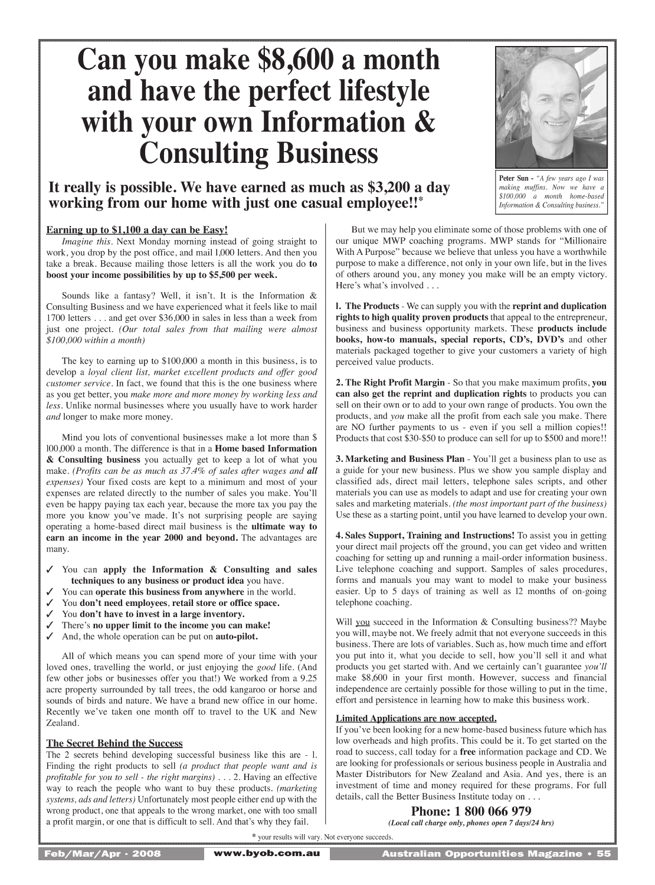## Can you make \$8,600 a month and have the perfect lifestyle with your own Information & **Consulting Business**

#### It really is possible. We have earned as much as \$3,200 a day working from our home with just one casual employee!!\*

#### Earning up to \$1,100 a day can be Easy!

Imagine this. Next Monday morning instead of going straight to work, you drop by the post office, and mail 1,000 letters. And then you take a break. Because mailing those letters is all the work you do to boost your income possibilities by up to \$5,500 per week.

Sounds like a fantasy? Well, it isn't. It is the Information & Consulting Business and we have experienced what it feels like to mail 1700 letters . . . and get over \$36,000 in sales in less than a week from just one project. (Our total sales from that mailing were almost  $$100,000$  within a month)

The key to earning up to \$100,000 a month in this business, is to develop a loyal client list, market excellent products and offer good customer service. In fact, we found that this is the one business where as you get better, you make more and more money by working less and less. Unlike normal businesses where you usually have to work harder and longer to make more money.

Mind you lots of conventional businesses make a lot more than \$ 100,000 a month. The difference is that in a **Home based Information** & Consulting business you actually get to keep a lot of what you make. (Profits can be as much as 37.4% of sales after wages and all expenses) Your fixed costs are kept to a minimum and most of your expenses are related directly to the number of sales you make. You'll even be happy paying tax each year, because the more tax you pay the more you know you've made. It's not surprising people are saying operating a home-based direct mail business is the ultimate way to earn an income in the year 2000 and beyond. The advantages are many.

- You can apply the Information & Consulting and sales techniques to any business or product idea you have.
- You can operate this business from anywhere in the world.
- You don't need employees, retail store or office space.
- You don't have to invest in a large inventory.
- There's no upper limit to the income you can make!
- And, the whole operation can be put on **auto-pilot**.

All of which means you can spend more of your time with your loved ones, travelling the world, or just enjoying the *good* life. (And few other jobs or businesses offer you that!) We worked from a 9.25 acre property surrounded by tall trees, the odd kangaroo or horse and sounds of birds and nature. We have a brand new office in our home. Recently we've taken one month off to travel to the UK and New Zealand.

#### **The Secret Behind the Success**

The 2 secrets behind developing successful business like this are - 1. Finding the right products to sell (a product that people want and is profitable for you to sell - the right margins) . . . 2. Having an effective way to reach the people who want to buy these products. (marketing systems, ads and letters) Unfortunately most people either end up with the wrong product, one that appeals to the wrong market, one with too small a profit margin, or one that is difficult to sell. And that's why they fail.



Peter Sun - "A few years ago I was making muffins. Now we have a Information & Consulting business.'

But we may help you eliminate some of those problems with one of our unique MWP coaching programs. MWP stands for "Millionaire With A Purpose" because we believe that unless you have a worthwhile purpose to make a difference, not only in your own life, but in the lives of others around you, any money you make will be an empty victory. Here's what's involved . . .

I. The Products - We can supply you with the reprint and duplication rights to high quality proven products that appeal to the entrepreneur, business and business opportunity markets. These products include books, how-to manuals, special reports, CD's, DVD's and other materials packaged together to give your customers a variety of high perceived value products.

2. The Right Profit Margin - So that you make maximum profits, you can also get the reprint and duplication rights to products you can sell on their own or to add to your own range of products. You own the products, and you make all the profit from each sale you make. There are NO further payments to us - even if you sell a million copies!! Products that cost \$30-\$50 to produce can sell for up to \$500 and more!!

3. Marketing and Business Plan - You'll get a business plan to use as a guide for your new business. Plus we show you sample display and classified ads, direct mail letters, telephone sales scripts, and other materials you can use as models to adapt and use for creating your own sales and marketing materials. (the most important part of the business) Use these as a starting point, until you have learned to develop your own.

4. Sales Support, Training and Instructions! To assist you in getting your direct mail projects off the ground, you can get video and written coaching for setting up and running a mail-order information business. Live telephone coaching and support. Samples of sales procedures, forms and manuals you may want to model to make your business easier. Up to 5 days of training as well as 12 months of on-going telephone coaching.

Will you succeed in the Information  $&$  Consulting business?? Maybe you will, maybe not. We freely admit that not everyone succeeds in this business. There are lots of variables. Such as, how much time and effort you put into it, what you decide to sell, how you'll sell it and what products you get started with. And we certainly can't guarantee you'll make \$8,600 in your first month. However, success and financial independence are certainly possible for those willing to put in the time, effort and persistence in learning how to make this business work.

#### **Limited Applications are now accepted.**

If you've been looking for a new home-based business future which has low overheads and high profits. This could be it. To get started on the road to success, call today for a free information package and CD. We are looking for professionals or serious business people in Australia and Master Distributors for New Zealand and Asia. And yes, there is an investment of time and money required for these programs. For full details, call the Better Business Institute today on . . .

#### Phone: 1 800 066 979

(Local call charge only, phones open 7 days/24 hrs)

\* your results will vary. Not everyone succeeds